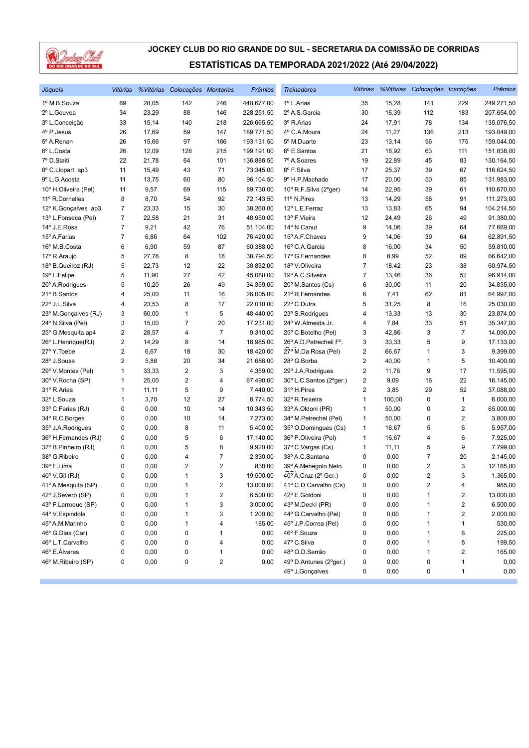

| Jóqueis              | Vitórias                |       | %Vitórias Colocações Montarias |                         | <b>Prêmios</b> | <b>Treinadores</b>      | Vitórias                |        | %Vitórias Colocações Inscrições |                         | Prêmios    |
|----------------------|-------------------------|-------|--------------------------------|-------------------------|----------------|-------------------------|-------------------------|--------|---------------------------------|-------------------------|------------|
| 1º M.B.Souza         | 69                      | 28,05 | 142                            | 246                     | 448.677,00     | 1º L.Arias              | 35                      | 15,28  | 141                             | 229                     | 249.271,50 |
| 2º L.Gouvea          | 34                      | 23,29 | 88                             | 146                     | 228.251,50     | 2º A.S.Garcia           | 30                      | 16,39  | 112                             | 183                     | 207.654,00 |
| 3º L.Conceição       | 33                      | 15,14 | 140                            | 218                     | 226.665,50     | 3º R.Arias              | 24                      | 17,91  | 78                              | 134                     | 135.076,50 |
| 4º P.Jesus           | 26                      | 17,69 | 89                             | 147                     | 189.771,50     | 4º C.A.Moura            | 24                      | 11,27  | 136                             | 213                     | 193.049,00 |
| 5º A.Renan           | 26                      | 15,66 | 97                             | 166                     | 193.131,50     | 5º M.Duarte             | 23                      | 13,14  | 96                              | 175                     | 159.044,00 |
| 6º L.Costa           | 26                      | 12,09 | 128                            | 215                     | 199.191,00     | 6º E.Santos             | 21                      | 18,92  | 63                              | 111                     | 151.838,00 |
| 7º D.Staiti          | 22                      | 21,78 | 64                             | 101                     | 136.886,50     | 7º A.Soares             | 19                      | 22,89  | 45                              | 83                      | 130.164,50 |
| 8º C.Llopart ap3     | 11                      | 15,49 | 43                             | 71                      | 73.345,00      | 8º F.Silva              | 17                      | 25,37  | 39                              | 67                      | 116.624,50 |
| 9º L.G. Acosta       | 11                      | 13,75 | 60                             | 80                      | 96.104,50      | 9º H.P.Machado          | 17                      | 20,00  | 50                              | 85                      | 131.983,00 |
| 10° H.Oliveira (Pel) | 11                      | 9,57  | 69                             | 115                     | 89.730,00      | 10° R.F.Silva (2°ger)   | 14                      | 22,95  | 39                              | 61                      | 110.670,00 |
| 11º R.Dornelles      | 8                       | 8,70  | 54                             | 92                      | 72.143,50      | 11º N.Pires             | 13                      | 14,29  | 58                              | 91                      | 111.273,00 |
| 12º K.Gonçalves ap3  | 7                       | 23,33 | 15                             | 30                      | 38.260,00      | 12º L.E.Ferraz          | 13                      | 13,83  | 65                              | 94                      | 104.214,50 |
| 13º L.Fonseca (Pel)  | 7                       | 22,58 | 21                             | 31                      | 48.950,00      | 13º F.Vieira            | 12                      | 24,49  | 26                              | 49                      | 91.380,00  |
| 14º J.E.Rosa         | 7                       | 9,21  | 42                             | 76                      | 51.104,00      | 14° N.Canut             | 9                       | 14,06  | 39                              | 64                      | 77.669,00  |
| 15º A.Farias         | 7                       | 6,86  | 64                             | 102                     | 76.420,00      | 15º A.F.Chaves          | 9                       | 14,06  | 39                              | 64                      | 62.891,50  |
| 16º M.B.Costa        | 6                       | 6,90  | 59                             | 87                      | 60.388,00      | 16º C.A.Garcia          | 8                       | 16,00  | 34                              | 50                      | 59.810,00  |
| 17º R.Araujo         | 5                       | 27,78 | 8                              | 18                      | 38.794,50      | 17º G.Fernandes         | 8                       | 8,99   | 52                              | 89                      | 66.642,00  |
| 18º B.Queiroz (RJ)   | 5                       | 22,73 | 12                             | 22                      | 38.832,00      | 18º V.Oliveira          | 7                       | 18,42  | 23                              | 38                      | 60.974,50  |
| 19º L.Felipe         | 5                       | 11,90 | 27                             | 42                      | 45.080,00      | 19º A.C.Silveira        | 7                       | 13,46  | 36                              | 52                      | 96.914,00  |
| 20° A.Rodrigues      | 5                       | 10,20 | 26                             | 49                      | 34.359,00      | 20° M.Santos (Cs)       | 6                       | 30,00  | 11                              | 20                      | 34.835,00  |
| 21º B.Santos         | 4                       | 25,00 | 11                             | 16                      | 26.005,00      | 21º R.Fernandes         | 6                       | 7,41   | 62                              | 81                      | 64.997,00  |
| 22° J.L.Silva        | 4                       | 23,53 | 8                              | 17                      | 22.010,00      | 22° C.Dutra             | 5                       | 31,25  | 8                               | 16                      | 25.030,00  |
| 23° M.Gonçalves (RJ) | 3                       | 60,00 | $\mathbf{1}$                   | 5                       | 48.440,00      | 23° S.Rodrigues         | 4                       | 13,33  | 13                              | 30                      | 23.874,00  |
| 24° N.Silva (Pel)    | 3                       | 15,00 | $\overline{7}$                 | 20                      | 17.231,00      | 24° W.Almeida Jr.       | 4                       | 7,84   | 33                              | 51                      | 35.347,00  |
| 25° G.Mesquita ap4   | 2                       | 28,57 | 4                              | $\overline{7}$          | 9.310,00       | 25° C.Botelho (Pel)     | 3                       | 42,86  | 3                               | $\overline{7}$          | 14.090,00  |
| 26° L.Henrique(RJ)   | $\overline{\mathbf{c}}$ | 14,29 | 8                              | 14                      | 18.985,00      | 26° A.D. Petrecheli F°. | 3                       | 33,33  | 5                               | 9                       | 17.133,00  |
| 27º Y.Toebe          | 2                       | 6,67  | 18                             | 30                      | 18.420,00      | 27º M.Da Rosa (Pel)     | 2                       | 66,67  | 1                               | 3                       | 9.399,00   |
| 28° J.Sousa          | 2                       | 5,88  | 20                             | 34                      | 21.686,00      | 28° G.Borba             | $\overline{2}$          | 40,00  | 1                               | 5                       | 10.400,00  |
| 29° V.Montes (Pel)   | 1                       | 33,33 | $\overline{2}$                 | 3                       | 4.359,00       | 29° J.A.Rodrigues       | 2                       | 11,76  | 9                               | 17                      | 11.595,00  |
| 30° V.Rocha (SP)     | 1                       | 25,00 | $\sqrt{2}$                     | 4                       | 67.490,00      | 30° L.C.Santos (2°ger.) | $\overline{2}$          | 9,09   | 16                              | 22                      | 16.145,00  |
| 31º R.Arias          | 1                       | 11,11 | 5                              | 9                       | 7.440,00       | 31º H.Pires             | $\overline{\mathbf{c}}$ | 3,85   | 29                              | 52                      | 37.088,00  |
| 32º L.Souza          | 1                       | 3,70  | 12                             | 27                      | 8.774,50       | 32º R. Teixeira         | $\mathbf{1}$            | 100,00 | 0                               | $\mathbf{1}$            | 6.000,00   |
| 33º C.Farias (RJ)    | 0                       | 0,00  | 10                             | 14                      | 10.343,50      | 33º A.Oldoni (PR)       | 1                       | 50,00  | 0                               | $\overline{2}$          | 65.000,00  |
| 34° R.C.Borges       | 0                       | 0,00  | 10                             | 14                      | 7.273,00       | 34° M.Petrechel (Pel)   | 1                       | 50,00  | 0                               | 2                       | 3.800,00   |
| 35° J.A.Rodrigues    | 0                       | 0,00  | 8                              | 11                      | 5.400,00       | 35° O.Domingues (Cs)    | 1                       | 16,67  | 5                               | 6                       | 5.957,00   |
| 36° H.Fernandes (RJ) | 0                       | 0,00  | 5                              | 6                       | 17.140,00      | 36° P.Oliveira (Pel)    | 1                       | 16,67  | 4                               | 6                       | 7.925,00   |
| 37º B.Pinheiro (RJ)  | 0                       | 0,00  | 5                              | 8                       | 9.920,00       | 37º C.Vargas (Cs)       | 1                       | 11, 11 | 5                               | 9                       | 7.799,00   |
| 38° G.Ribeiro        | 0                       | 0,00  | 4                              | 7                       | 2.330,00       | 38º A.C.Santana         | 0                       | 0,00   | 7                               | 20                      | 2.145,00   |
| 39° E.Lima           | 0                       | 0,00  | $\overline{2}$                 | 2                       | 830,00         | 39° A.Menegolo Neto     | 0                       | 0,00   | 2                               | 3                       | 12.165,00  |
| 40° V.Gil (RJ)       | 0                       | 0,00  | $\mathbf{1}$                   | 3                       | 19.500,00      | 40° A.Cruz (2° Ger.)    | 0                       | 0,00   | $\overline{2}$                  | 3                       | 1.365,00   |
| 41º A.Mesquita (SP)  | 0                       | 0,00  | 1                              | $\overline{\mathbf{c}}$ | 13.000,00      | 41º C.D.Carvalho (Cs)   | 0                       | 0,00   | 2                               | 4                       | 985,00     |
| 42º J.Severo (SP)    | 0                       | 0,00  | 1                              | 2                       | 6.500,00       | 42° E.Goldoni           | 0                       | 0,00   | 1                               | 2                       | 13.000,00  |
| 43° F.Larroque (SP)  | 0                       | 0,00  | 1                              | 3                       | 3.000,00       | 43º M.Decki (PR)        | 0                       | 0,00   | 1                               | 2                       | 6.500,00   |
| 44º V.Espindola      | 0                       | 0,00  | 1                              | 3                       | 1.200,00       | 44° G.Carvalho (Pel)    | 0                       | 0,00   | 1                               | $\overline{\mathbf{c}}$ | 2.000,00   |
| 45° A.M.Marinho      | 0                       | 0,00  | 1                              | 4                       | 165,00         | 45° J.P.Correa (Pel)    | 0                       | 0,00   | 1                               | 1                       | 530,00     |
| 46° G.Dias (Car)     | 0                       | 0,00  | 0                              | 1                       | 0,00           | 46° F.Souza             | 0                       | 0,00   | 1                               | 6                       | 225,00     |
| 46º L.T.Carvalho     | 0                       | 0,00  | 0                              | 4                       | 0,00           | 47° C.Silva             | 0                       | 0,00   | 1                               | 5                       | 199,50     |
| 46° E.Álvares        | 0                       | 0,00  | 0                              | 1                       | 0,00           | 48º O.D.Serrão          | 0                       | 0,00   | 1                               | $\sqrt{2}$              | 165,00     |
| 46° M.Ribeiro (SP)   | 0                       | 0,00  | 0                              | 2                       | 0,00           | 49° D.Antunes (2°ger.)  | 0                       | 0,00   | 0                               | 1                       | 0,00       |
|                      |                         |       |                                |                         |                | 49º J.Gonçalves         | 0                       | 0,00   | 0                               | 1                       | 0,00       |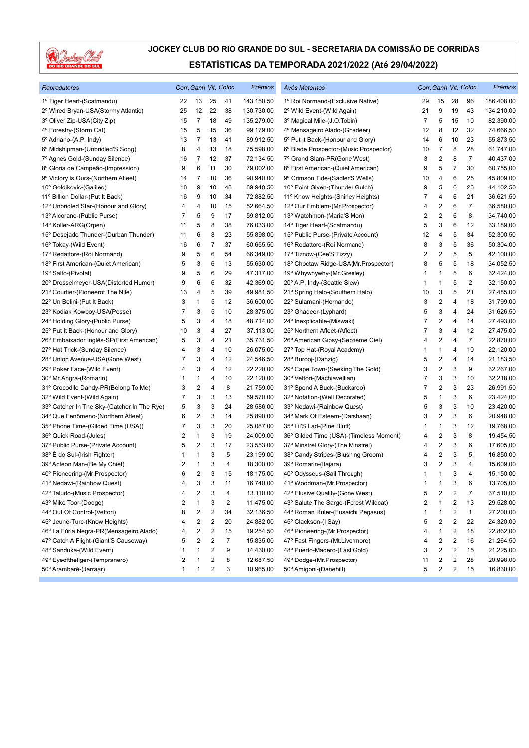

| <b>Reprodutores</b>                         |    |                |                         | Corr. Ganh Vit. Coloc.  | <b>Prêmios</b> | Avós Maternos                           |              |                         |                | Corr. Ganh Vit. Coloc. | Prêmios    |
|---------------------------------------------|----|----------------|-------------------------|-------------------------|----------------|-----------------------------------------|--------------|-------------------------|----------------|------------------------|------------|
| 1º Tiger Heart-(Scatmandu)                  | 22 | 13             | 25                      | 41                      | 143.150,50     | 1º Roi Normand-(Exclusive Native)       | 29           | 15                      | 28             | 96                     | 186.408,00 |
| 2º Wired Bryan-USA(Stormy Atlantic)         | 25 | 12             | 22                      | 38                      | 130.730,00     | 2º Wild Event-(Wild Again)              | 21           | 9                       | 19             | 43                     | 134.210,00 |
| 3º Oliver Zip-USA(City Zip)                 | 15 | $\overline{7}$ | 18                      | 49                      | 135.279,00     | 3º Magical Mile-(J.O.Tobin)             | 7            | 5                       | 15             | 10                     | 82.390,00  |
| 4° Forestry-(Storm Cat)                     | 15 | 5              | 15                      | 36                      | 99.179,00      | 4º Mensageiro Alado-(Ghadeer)           | 12           | 8                       | 12             | 32                     | 74.666,50  |
| 5° Adriano-(A.P. Indy)                      | 13 | 7              | 13                      | 41                      | 89.912,50      | 5° Put It Back-(Honour and Glory)       | 14           | 6                       | 10             | 23                     | 55.873,50  |
| 6º Midshipman-(Unbridled'S Song)            | 8  | 4              | 13                      | 18                      | 75.598,00      | 6° Blade Prospector-(Music Prospector)  | 10           | 7                       | 8              | 28                     | 61.747,00  |
| 7º Agnes Gold-(Sunday Silence)              | 16 | 7              | 12                      | 37                      | 72.134,50      | 7º Grand Slam-PR(Gone West)             | 3            | $\overline{\mathbf{c}}$ | 8              | 7                      | 40.437,00  |
| 8º Glória de Campeão-(Impression)           | 9  | 6              | 11                      | 30                      | 79.002,00      | 8º First American-(Quiet American)      | 9            | 5                       | 7              | 30                     | 60.755,00  |
| 9º Victory Is Ours-(Northern Afleet)        | 14 | 7              | 10                      | 36                      | 90.940,00      | 9º Crimson Tide-(Sadler'S Wells)        | 10           | 4                       | 6              | 25                     | 45.809,00  |
| 10° Goldikovic-(Galileo)                    | 18 | 9              | 10                      | 48                      | 89.940,50      | 10° Point Given-(Thunder Gulch)         | 9            | 5                       | 6              | 23                     | 44.102,50  |
| 11º Billion Dollar-(Put It Back)            | 16 | 9              | 10                      | 34                      | 72.882,50      | 11º Know Heights-(Shirley Heights)      | 7            | 4                       | 6              | 21                     | 36.621,50  |
| 12º Unbridled Star-(Honour and Glory)       | 4  | 4              | 10                      | 15                      | 52.664,50      | 12º Our Emblem-(Mr.Prospector)          | 4            | $\overline{\mathbf{c}}$ | 6              | 7                      | 36.580,00  |
| 13º Alcorano-(Public Purse)                 | 7  | 5              | 9                       | 17                      | 59.812,00      | 13º Watchmon-(Maria'S Mon)              | 2            | $\overline{\mathbf{c}}$ | 6              | 8                      | 34.740,00  |
| 14° Koller-ARG(Orpen)                       | 11 | 5              | 8                       | 38                      | 76.033,00      | 14° Tiger Heart-(Scatmandu)             | 5            | 3                       | 6              | 12                     | 33.189,00  |
| 15° Desejado Thunder-(Durban Thunder)       | 11 | 6              | 8                       | 23                      | 55.898,00      | 15° Public Purse-(Private Account)      | 12           | 4                       | 5              | 34                     | 52.300,50  |
| 16° Tokay-(Wild Event)                      | 16 | 6              | 7                       | 37                      | 60.655,50      | 16° Redattore-(Roi Normand)             | 8            | 3                       | 5              | 36                     | 50.304,00  |
| 17º Redattore-(Roi Normand)                 | 9  | 5              | 6                       | 54                      | 66.349,00      | 17º Tiznow-(Cee'S Tizzy)                | 2            | $\overline{2}$          | 5              | 5                      | 42.100,00  |
| 18° First American-(Quiet American)         | 5  | 3              | 6                       | 13                      | 55.630,00      | 18° Choctaw Ridge-USA(Mr.Prospector)    | 8            | 5                       | 5              | 18                     | 34.052,50  |
| 19º Salto-(Pivotal)                         | 9  | 5              | 6                       | 29                      | 47.317,00      | 19° Whywhywhy-(Mr.Greeley)              | 1            | $\mathbf{1}$            | 5              | 6                      | 32.424,00  |
| 20° Drosselmeyer-USA(Distorted Humor)       | 9  | 6              | 6                       | 32                      | 42.369,00      | 20° A.P. Indy-(Seattle Slew)            | 1            | $\mathbf{1}$            | 5              | 2                      | 32.150,00  |
| 21º Courtier-(Pioneerof The Nile)           | 13 | 4              | 5                       | 39                      | 49.981,50      | 21° Spring Halo-(Southern Halo)         | 10           | 3                       | 5              | 21                     | 27.485,00  |
| 22° Un Belini-(Put It Back)                 | 3  | 1              | 5                       | 12                      | 36.600,00      | 22° Sulamani-(Hernando)                 | 3            | $\sqrt{2}$              | 4              | 18                     | 31.799,00  |
| 23° Kodiak Kowboy-USA(Posse)                | 7  | 3              | 5                       | 10                      | 28.375,00      | 23° Ghadeer-(Lyphard)                   | 5            | 3                       | 4              | 24                     | 31.626,50  |
| 24° Holding Glory-(Public Purse)            | 5  | 3              | 4                       | 18                      | 48.714,00      | 24° Inexplicable-(Miswaki)              | 7            | 2                       | 4              | 14                     | 27.493,00  |
| 25° Put It Back-(Honour and Glory)          | 10 | 3              | 4                       | 27                      | 37.113,00      | 25° Northern Afleet-(Afleet)            | 7            | 3                       | 4              | 12                     | 27.475,00  |
| 26° Embaixador Inglês-SP(First American)    | 5  | 3              | 4                       | 21                      | 35.731,50      | 26° American Gipsy-(Septième Ciel)      | 4            | $\overline{c}$          | 4              | $\overline{7}$         | 22.870,00  |
| 27º Hat Trick-(Sunday Silence)              | 4  | 3              | 4                       | 10                      | 26.075,00      | 27° Top Hat-(Royal Academy)             | 1            | $\mathbf{1}$            | 4              | 10                     | 22.120,00  |
| 28° Union Avenue-USA(Gone West)             | 7  | 3              | 4                       | 12                      | 24.546,50      | 28° Burooj-(Danzig)                     | 5            | $\overline{\mathbf{c}}$ | 4              | 14                     | 21.183,50  |
| 29° Poker Face-(Wild Event)                 | 4  | 3              | 4                       | 12                      | 22.220,00      | 29° Cape Town-(Seeking The Gold)        | 3            | $\overline{c}$          | 3              | 9                      | 32.267,00  |
| 30° Mr.Angra-(Romarin)                      | 1  | 1              | 4                       | 10                      | 22.120,00      | 30° Vettori-(Machiavellian)             | 7            | 3                       | 3              | 10                     | 32.218,00  |
| 31º Crocodilo Dandy-PR(Belong To Me)        | 3  | 2              | 4                       | 8                       | 21.759,00      | 31° Spend A Buck-(Buckaroo)             | 7            | $\overline{c}$          | 3              | 23                     | 26.991,50  |
| 32° Wild Event-(Wild Again)                 | 7  | 3              | 3                       | 13                      | 59.570,00      | 32º Notation-(Well Decorated)           | 5            | $\mathbf{1}$            | 3              | 6                      | 23.424,00  |
| 33° Catcher In The Sky-(Catcher In The Rye) | 5  | 3              | 3                       | 24                      | 28.586,00      | 33º Nedawi-(Rainbow Quest)              | 5            | 3                       | 3              | 10                     | 23.420,00  |
| 34° Que Fenômeno-(Northern Afleet)          | 6  | 2              | 3                       | 14                      | 25.890,00      | 34° Mark Of Esteem-(Darshaan)           | 3            | $\overline{c}$          | 3              | 6                      | 20.948,00  |
| 35° Phone Time-(Gilded Time (USA))          | 7  | 3              | 3                       | 20                      | 25.087,00      | 35° Lil'S Lad-(Pine Bluff)              | 1            | $\mathbf{1}$            | 3              | 12                     | 19.768,00  |
| 36° Quick Road-(Jules)                      | 2  | 1              | 3                       | 19                      | 24.009,00      | 36° Gilded Time (USA)-(Timeless Moment) | 4            | $\overline{c}$          | 3              | 8                      | 19.454,50  |
| 37º Public Purse-(Private Account)          | 5  | 2              | 3                       | 17                      | 23.553,00      | 37º Minstrel Glory-(The Minstrel)       | 4            | $\overline{2}$          | 3              | 6                      | 17.605,00  |
| 38° É do Sul-(Irish Fighter)                | 1  | 1              | 3                       | 5                       | 23.199,00      | 38° Candy Stripes-(Blushing Groom)      | 4            | $\overline{c}$          | 3              | 5                      | 16.850,00  |
| 39° Acteon Man-(Be My Chief)                | 2  | 1              | 3                       | 4                       | 18.300,00      | 39º Romarin-(Itajara)                   | 3            | $\overline{\mathbf{c}}$ | 3              | 4                      | 15.609,00  |
| 40° Pioneering-(Mr.Prospector)              | 6  | 2              | 3                       | 15                      | 18.175,00      | 40° Odysseus-(Sail Through)             | $\mathbf{1}$ | $\mathbf{1}$            | 3              | 4                      | 15.150,00  |
| 41º Nedawi-(Rainbow Quest)                  | 4  | 3              | 3                       | 11                      | 16.740,00      | 41º Woodman-(Mr.Prospector)             | 1            | $\mathbf{1}$            | 3              | 6                      | 13.705,00  |
| 42º Taludo-(Music Prospector)               | 4  | 2              | 3                       | 4                       | 13.110,00      | 42° Elusive Quality-(Gone West)         | 5            | $\overline{c}$          | 2              | 7                      | 37.510,00  |
| 43º Mike Toor-(Dodge)                       | 2  | 1              | 3                       | $\overline{\mathbf{c}}$ | 11.475,00      | 43° Salute The Sarge-(Forest Wildcat)   | 2            | 1                       | 2              | 13                     | 29.528,00  |
| 44° Out Of Control-(Vettori)                | 8  | 2              | 2                       | 34                      | 32.136,50      | 44° Roman Ruler-(Fusaichi Pegasus)      | 1            | 1                       | 2              | $\mathbf{1}$           | 27.200,00  |
| 45° Jeune-Turc-(Know Heights)               | 4  | 2              | $\boldsymbol{2}$        | 20                      | 24.882,00      | 45° Clackson-(I Say)                    | 5            | $\overline{c}$          | $\overline{c}$ | 22                     | 24.320,00  |
| 46° La Fúria Negra-PR(Mensageiro Alado)     | 4  | 2              | $\sqrt{2}$              | 15                      | 19.254,50      | 46° Pioneering-(Mr.Prospector)          | 4            | $\mathbf{1}$            | $\sqrt{2}$     | 18                     | 22.862,00  |
| 47° Catch A Flight-(Giant'S Causeway)       | 5  | 2              | 2                       | $\overline{7}$          | 15.835,00      | 47° Fast Fingers-(Mt.Livermore)         | 4            | $\overline{\mathbf{c}}$ | 2              | 16                     | 21.264,50  |
| 48° Sanduka-(Wild Event)                    | 1  | 1              | 2                       | 9                       | 14.430,00      | 48° Puerto-Madero-(Fast Gold)           | 3            | 2                       | 2              | 15                     | 21.225,00  |
| 49° Eyeofthetiger-(Tempranero)              | 2  | 1              | 2                       | 8                       | 12.687,50      | 49° Dodge-(Mr.Prospector)               | 11           | $\overline{\mathbf{c}}$ | 2              | 28                     | 20.998,00  |
| 50° Arambaré-(Jarraar)                      | 1  | 1              | $\overline{\mathbf{c}}$ | 3                       | 10.965,00      | 50° Amigoni-(Danehill)                  | 5            | $\overline{c}$          | $\overline{c}$ | 15                     | 16.830,00  |
|                                             |    |                |                         |                         |                |                                         |              |                         |                |                        |            |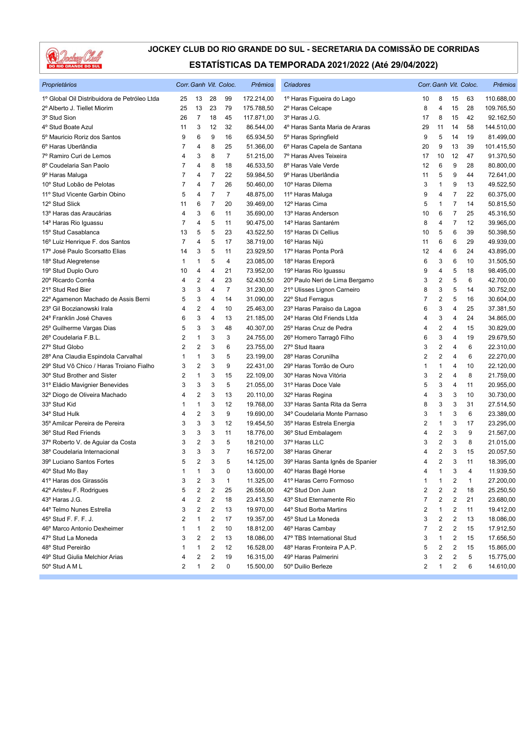

| Proprietários                                |                |                         |                         | Corr. Ganh Vit. Coloc. | Prêmios    | Criadores                        |                |                         |                         | Corr. Ganh Vit. Coloc. | Prêmios    |
|----------------------------------------------|----------------|-------------------------|-------------------------|------------------------|------------|----------------------------------|----------------|-------------------------|-------------------------|------------------------|------------|
| 1º Global Oil Distribuidora de Petróleo Ltda | 25             | 13                      | 28                      | 99                     | 172.214,00 | 1º Haras Figueira do Lago        | 10             | 8                       | 15                      | 63                     | 110.688,00 |
| 2º Alberto J. Tiellet Miorim                 | 25             | 13                      | 23                      | 79                     | 175.788,50 | 2º Haras Celcape                 | 8              | 4                       | 15                      | 28                     | 109.765,50 |
| 3º Stud Sion                                 | 26             | $\overline{7}$          | 18                      | 45                     | 117.871,00 | 3º Haras J.G.                    | 17             | 8                       | 15                      | 42                     | 92.162,50  |
| 4° Stud Boate Azul                           | 11             | 3                       | 12                      | 32                     | 86.544,00  | 4º Haras Santa Maria de Araras   | 29             | 11                      | 14                      | 58                     | 144.510,00 |
| 5º Mauricio Roriz dos Santos                 | 9              | 6                       | 9                       | 16                     | 65.934,50  | 5° Haras Springfield             | 9              | 5                       | 14                      | 19                     | 81.499,00  |
| 6º Haras Uberlândia                          | 7              | 4                       | 8                       | 25                     | 51.366,00  | 6º Haras Capela de Santana       | 20             | 9                       | 13                      | 39                     | 101.415,50 |
| 7º Ramiro Curi de Lemos                      | 4              | 3                       | 8                       | $\overline{7}$         | 51.215,00  | 7º Haras Alves Teixeira          | 17             | 10                      | 12                      | 47                     | 91.370,50  |
| 8º Coudelaria San Paolo                      | 7              | 4                       | 8                       | 18                     | 46.533,50  | 8º Haras Vale Verde              | 12             | 6                       | 9                       | 28                     | 80.800,00  |
| 9º Haras Maluga                              | 7              | 4                       | $\overline{7}$          | 22                     | 59.984,50  | 9º Haras Uberlândia              | 11             | 5                       | 9                       | 44                     | 72.641,00  |
| 10º Stud Lobão de Pelotas                    | 7              | 4                       | $\overline{7}$          | 26                     | 50.460,00  | 10° Haras Dilema                 | 3              | 1                       | 9                       | 13                     | 49.522,50  |
| 11º Stud Vicente Garbin Obino                | 5              | 4                       | $\overline{7}$          | $\overline{7}$         | 48.875,00  | 11º Haras Maluga                 | 9              | 4                       | 7                       | 22                     | 60.375,00  |
| 12° Stud Slick                               | 11             | 6                       | $\overline{7}$          | 20                     | 39.469,00  | 12º Haras Cima                   | 5              | 1                       | $\overline{7}$          | 14                     | 50.815,50  |
| 13º Haras das Araucárias                     | 4              | 3                       | 6                       | 11                     | 35.690,00  | 13º Haras Anderson               | 10             | 6                       | $\overline{7}$          | 25                     | 45.316,50  |
| 14° Haras Rio Iguassu                        | 7              | 4                       | 5                       | 11                     | 90.475,00  | 14º Haras Santarém               | 8              | 4                       | $\overline{7}$          | 12                     | 39.965,00  |
| 15° Stud Casablanca                          | 13             | 5                       | 5                       | 23                     | 43.522,50  | 15° Haras Di Cellius             | 10             | 5                       | 6                       | 39                     | 50.398,50  |
| 16° Luiz Henrique F. dos Santos              | $\overline{7}$ | 4                       | 5                       | 17                     | 38.719,00  | 16° Haras Nijú                   | 11             | 6                       | 6                       | 29                     | 49.939,00  |
| 17º José Paulo Scorsatto Elias               | 14             | 3                       | 5                       | 11                     | 23.929,50  | 17º Haras Ponta Porã             | 12             | 4                       | 6                       | 24                     | 43.895,00  |
| 18° Stud Alegretense                         | 1              | 1                       | 5                       | 4                      | 23.085,00  | 18º Haras Ereporã                | 6              | 3                       | 6                       | 10                     | 31.505,50  |
| 19° Stud Duplo Ouro                          | 10             | 4                       | 4                       | 21                     | 73.952,00  | 19° Haras Rio Iguassu            | 9              | 4                       | 5                       | 18                     | 98.495,00  |
| 20° Ricardo Corrêa                           | 4              | $\overline{2}$          | 4                       | 23                     | 52.430,50  | 20° Paulo Neri de Lima Bergamo   | 3              | 2                       | 5                       | 6                      | 42.700,00  |
| 21º Stud Red Bier                            | 3              | 3                       | 4                       | $\overline{7}$         | 31.230,00  | 21º Ulisses Lignon Carneiro      | 8              | 3                       | 5                       | 14                     | 30.752,00  |
| 22º Agamenon Machado de Assis Berni          | 5              | 3                       | 4                       | 14                     | 31.090,00  | 22° Stud Ferragus                | $\overline{7}$ | 2                       | 5                       | 16                     | 30.604,00  |
| 23° Gil Boczianowski Irala                   | 4              | $\overline{\mathbf{c}}$ | 4                       | 10                     | 25.463,00  | 23º Haras Paraiso da Lagoa       | 6              | 3                       | 4                       | 25                     | 37.381,50  |
| 24º Franklin José Chaves                     | 6              | 3                       | 4                       | 13                     | 21.185,00  | 24° Haras Old Friends Ltda       | 4              | 3                       | 4                       | 24                     | 34.865,00  |
| 25° Guilherme Vargas Dias                    | 5              | 3                       | 3                       | 48                     | 40.307,00  | 25° Haras Cruz de Pedra          | 4              | $\overline{\mathbf{c}}$ | $\overline{4}$          | 15                     | 30.829,00  |
| 26° Coudelaria F.B.L.                        | 2              | $\mathbf{1}$            | 3                       | 3                      | 24.755,00  | 26° Homero Tarragô Filho         | 6              | 3                       | 4                       | 19                     | 29.679,50  |
| 27º Stud Globo                               | $\overline{2}$ | $\overline{2}$          | 3                       | 6                      | 23.755,00  | 27° Stud Itaara                  | 3              | 2                       | 4                       | 6                      | 22.310,00  |
| 28º Ana Claudia Espindola Carvalhal          | 1              | 1                       | 3                       | 5                      | 23.199,00  | 28° Haras Corunilha              | $\overline{2}$ | $\overline{2}$          | 4                       | 6                      | 22.270,00  |
| 29° Stud Vô Chico / Haras Troiano Fialho     | 3              | $\overline{2}$          | 3                       | 9                      | 22.431,00  | 29° Haras Torrão de Ouro         | 1              | 1                       | 4                       | 10                     | 22.120,00  |
| 30° Stud Brother and Sister                  | 2              | $\mathbf{1}$            | 3                       | 15                     | 22.109,00  | 30° Haras Nova Vitória           | 3              | 2                       | 4                       | 8                      | 21.759,00  |
| 31º Eládio Mavignier Benevides               | 3              | 3                       | 3                       | 5                      | 21.055,00  | 31º Haras Doce Vale              | 5              | 3                       | 4                       | 11                     | 20.955,00  |
| 32º Diogo de Oliveira Machado                | 4              | $\overline{2}$          | 3                       | 13                     | 20.110,00  | 32º Haras Regina                 | 4              | 3                       | 3                       | 10                     | 30.730,00  |
| 33° Stud Kid                                 | 1              | $\mathbf{1}$            | 3                       | 12                     | 19.768,00  | 33º Haras Santa Rita da Serra    | 8              | 3                       | 3                       | 31                     | 27.514,50  |
| 34° Stud Hulk                                | 4              | $\overline{2}$          | 3                       | 9                      | 19.690,00  | 34º Coudelaria Monte Parnaso     | 3              | 1                       | 3                       | 6                      | 23.389,00  |
| 35º Amilcar Pereira de Pereira               | 3              | 3                       | 3                       | 12                     | 19.454,50  | 35° Haras Estrela Energia        | $\overline{c}$ | 1                       | 3                       | 17                     | 23.295,00  |
| 36° Stud Red Friends                         | 3              | 3                       | 3                       | 11                     | 18.776,00  | 36° Stud Embalagem               | 4              | 2                       | 3                       | 9                      | 21.567,00  |
| 37º Roberto V. de Aguiar da Costa            | 3              | $\overline{2}$          | 3                       | 5                      | 18.210,00  | 37º Haras LLC                    | 3              | 2                       | 3                       | 8                      | 21.015,00  |
| 38° Coudelaria Internacional                 | 3              | 3                       | 3                       | 7                      | 16.572,00  | 38º Haras Gherar                 | 4              | 2                       | 3                       | 15                     | 20.057,50  |
| 39º Luciano Santos Fortes                    | 5              | $\overline{2}$          | 3                       | 5                      | 14.125,00  | 39° Haras Santa Ignês de Spanier | 4              | $\overline{2}$          | 3                       | 11                     | 18.395,00  |
| 40° Stud Mo Bay                              | $\mathbf{1}$   | $\mathbf{1}$            | 3                       | $\Omega$               | 13.600,00  | 40° Haras Bagé Horse             | 4              | 1                       | 3                       | $\overline{4}$         | 11.939,50  |
| 41º Haras dos Girassóis                      | 3              | $\overline{c}$          | 3                       | $\mathbf{1}$           | 11.325,00  | 41º Haras Cerro Formoso          | $\mathbf{1}$   | 1                       | $\overline{\mathbf{c}}$ | 1                      | 27.200,00  |
| 42º Aristeu F. Rodrigues                     | 5              | $\overline{c}$          | $\overline{c}$          | 25                     | 26.556,00  | 42° Stud Don Juan                | $\overline{2}$ | 2                       | 2                       | 18                     | 25.250,50  |
| 43º Haras J.G.                               | 4              | 2                       | $\overline{\mathbf{c}}$ | 18                     | 23.413,50  | 43° Stud Eternamente Rio         | 7              | 2                       | 2                       | 21                     | 23.680,00  |
| 44º Telmo Nunes Estrella                     | 3              | $\overline{c}$          | $\sqrt{2}$              | 13                     | 19.970,00  | 44° Stud Borba Martins           | 2              | 1                       | $\overline{\mathbf{c}}$ | 11                     | 19.412,00  |
| 45° Stud F. F. F. J.                         | 2              | $\mathbf{1}$            | $\sqrt{2}$              | 17                     | 19.357,00  | 45° Stud La Moneda               | 3              | 2                       | 2                       | 13                     | 18.086,00  |
| 46° Marco Antonio Dexheimer                  | 1              | $\mathbf{1}$            | $\sqrt{2}$              | 10                     | 18.812,00  | 46° Haras Cambay                 | 7              | 2                       | $\overline{\mathbf{c}}$ | 15                     | 17.912,50  |
| 47° Stud La Moneda                           | 3              | $\overline{c}$          | $\sqrt{2}$              | 13                     | 18.086,00  | 47° TBS International Stud       | 3              | 1                       | $\overline{\mathbf{c}}$ | 15                     | 17.656,50  |
| 48º Stud Pereirão                            | 1              | $\mathbf{1}$            | $\overline{2}$          | 12                     | 16.528,00  | 48° Haras Fronteira P.A.P.       | 5              | 2                       | 2                       | 15                     | 15.865,00  |
| 49° Stud Giulia Melchior Arias               | 4              | $\overline{2}$          | $\sqrt{2}$              | 19                     | 16.315,00  | 49° Haras Palmerini              | 3              | 2                       | $\overline{\mathbf{c}}$ | 5                      | 15.775,00  |
| 50° Stud A M L                               | 2              | $\mathbf{1}$            | 2                       | 0                      | 15.500,00  | 50° Duilio Berleze               | $\overline{2}$ | 1                       | 2                       | 6                      | 14.610,00  |
|                                              |                |                         |                         |                        |            |                                  |                |                         |                         |                        |            |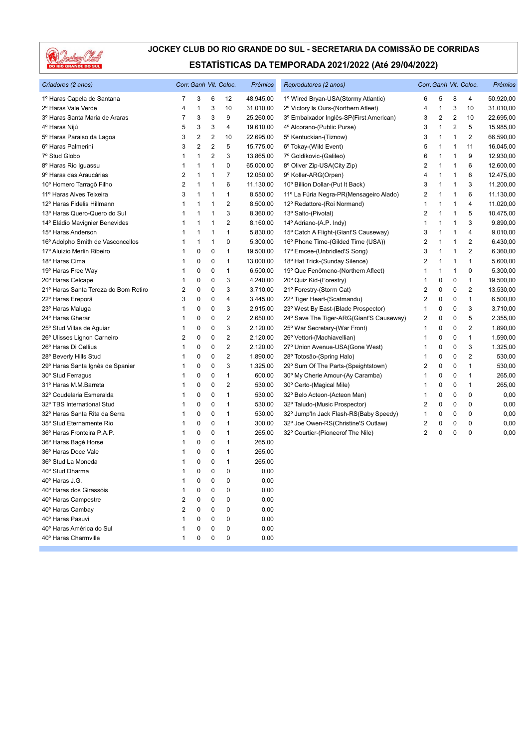

| Criadores (2 anos)                   |              | Corr. Ganh Vit. Coloc. |                         |                         | Prêmios   | Reprodutores (2 anos)                    |                         | Corr. Ganh Vit. Coloc. | Prêmios        |                         |           |
|--------------------------------------|--------------|------------------------|-------------------------|-------------------------|-----------|------------------------------------------|-------------------------|------------------------|----------------|-------------------------|-----------|
| 1º Haras Capela de Santana           | 7            | 3                      | 6                       | 12                      | 48.945,00 | 1º Wired Bryan-USA(Stormy Atlantic)      | 6                       | 5                      | 8              | 4                       | 50.920,00 |
| 2º Haras Vale Verde                  | 4            | $\mathbf{1}$           | 3                       | 10                      | 31.010,00 | 2º Victory Is Ours-(Northern Afleet)     | 4                       | 1                      | 3              | 10                      | 31.010,00 |
| 3º Haras Santa Maria de Araras       | 7            | 3                      | 3                       | 9                       | 25.260,00 | 3º Embaixador Inglês-SP(First American)  | 3                       | 2                      | $\overline{2}$ | 10                      | 22.695,00 |
| 4º Haras Nijú                        | 5            | 3                      | 3                       | 4                       | 19.610,00 | 4º Alcorano-(Public Purse)               | 3                       | 1                      | $\overline{2}$ | 5                       | 15.985,00 |
| 5º Haras Paraiso da Lagoa            | 3            | $\overline{2}$         | 2                       | 10                      | 22.695,00 | 5º Kentuckian-(Tiznow)                   | 3                       | 1                      | 1              | $\overline{\mathbf{c}}$ | 66.590,00 |
| 6º Haras Palmerini                   | 3            | $\sqrt{2}$             | $\overline{\mathbf{c}}$ | 5                       | 15.775,00 | 6° Tokay-(Wild Event)                    | 5                       | 1                      | $\mathbf 1$    | 11                      | 16.045,00 |
| 7º Stud Globo                        | 1            | $\mathbf{1}$           | $\overline{2}$          | 3                       | 13.865,00 | 7º Goldikovic-(Galileo)                  | 6                       | 1                      | 1              | 9                       | 12.930,00 |
| 8º Haras Rio Iguassu                 | 1            | 1                      | 1                       | 0                       | 65.000,00 | 8° Oliver Zip-USA(City Zip)              | 2                       | 1                      | $\mathbf 1$    | 6                       | 12.600,00 |
| 9º Haras das Araucárias              | 2            | 1                      | 1                       | 7                       | 12.050,00 | 9° Koller-ARG(Orpen)                     | $\overline{4}$          | 1                      | $\overline{1}$ | 6                       | 12.475,00 |
| 10° Homero Tarragô Filho             | 2            | $\mathbf{1}$           | 1                       | 6                       | 11.130,00 | 10° Billion Dollar-(Put It Back)         | 3                       | 1                      | 1              | 3                       | 11.200,00 |
| 11º Haras Alves Teixeira             | 3            | $\mathbf{1}$           | 1                       | 1                       | 8.550,00  | 11º La Fúria Negra-PR(Mensageiro Alado)  | $\overline{2}$          | 1                      | 1              | 6                       | 11.130,00 |
| 12º Haras Fidelis Hillmann           | 1            | $\mathbf{1}$           | 1                       | $\overline{2}$          | 8.500,00  | 12º Redattore-(Roi Normand)              | 1                       | 1                      | 1              | 4                       | 11.020,00 |
| 13º Haras Quero-Quero do Sul         | 1            | 1                      | 1                       | 3                       | 8.360,00  | 13º Salto-(Pivotal)                      | $\overline{2}$          | 1                      | $\overline{1}$ | 5                       | 10.475,00 |
| 14º Eládio Mavignier Benevides       | 1            | 1                      | 1                       | 2                       | 8.160,00  | 14º Adriano-(A.P. Indy)                  | 1                       | 1                      | $\overline{1}$ | 3                       | 9.890,00  |
| 15° Haras Anderson                   | 1            | $\mathbf{1}$           | 1                       | $\mathbf{1}$            | 5.830,00  | 15° Catch A Flight-(Giant'S Causeway)    | 3                       | 1                      | 1              | 4                       | 9.010,00  |
| 16° Adolpho Smith de Vasconcellos    | 1            | $\mathbf{1}$           | 1                       | 0                       | 5.300,00  | 16° Phone Time-(Gilded Time (USA))       | $\overline{2}$          | 1                      | $\mathbf 1$    | $\overline{2}$          | 6.430,00  |
| 17º Aluizio Merlin Ribeiro           | 1            | 0                      | 0                       | 1                       | 19.500,00 | 17º Emcee-(Unbridled'S Song)             | 3                       | 1                      | 1              | $\overline{2}$          | 6.360,00  |
| 18º Haras Cima                       | 1            | 0                      | 0                       | $\mathbf{1}$            | 13.000,00 | 18º Hat Trick-(Sunday Silence)           | $\overline{2}$          | 1                      | $\mathbf{1}$   | $\mathbf{1}$            | 5.600,00  |
| 19º Haras Free Way                   | 1            | 0                      | 0                       | 1                       | 6.500,00  | 19° Que Fenômeno-(Northern Afleet)       | 1                       | 1                      | $\mathbf 1$    | $\mathbf 0$             | 5.300,00  |
| 20° Haras Celcape                    | 1            | 0                      | 0                       | 3                       | 4.240,00  | 20° Quiz Kid-(Forestry)                  | 1                       | 0                      | 0              | 1                       | 19.500,00 |
| 21º Haras Santa Tereza do Bom Retiro | 2            | $\mathbf 0$            | 0                       | 3                       | 3.710,00  | 21º Forestry-(Storm Cat)                 | $\overline{2}$          | 0                      | $\mathbf 0$    | $\overline{2}$          | 13.530,00 |
| 22º Haras Ereporã                    | 3            | $\mathbf 0$            | 0                       | 4                       | 3.445,00  | 22° Tiger Heart-(Scatmandu)              | 2                       | 0                      | 0              | $\mathbf{1}$            | 6.500,00  |
| 23° Haras Maluga                     | 1            | 0                      | 0                       | 3                       | 2.915,00  | 23° West By East-(Blade Prospector)      | $\mathbf{1}$            | 0                      | 0              | 3                       | 3.710,00  |
| 24° Haras Gherar                     | 1            | 0                      | 0                       | $\overline{\mathbf{c}}$ | 2.650,00  | 24° Save The Tiger-ARG(Giant'S Causeway) | $\overline{\mathbf{c}}$ | 0                      | 0              | 5                       | 2.355,00  |
| 25° Stud Villas de Aguiar            | 1            | 0                      | 0                       | 3                       | 2.120,00  | 25° War Secretary-(War Front)            | 1                       | 0                      | 0              | $\overline{c}$          | 1.890,00  |
| 26° Ulisses Lignon Carneiro          | 2            | 0                      | 0                       | $\overline{\mathbf{c}}$ | 2.120,00  | 26° Vettori-(Machiavellian)              | 1                       | 0                      | 0              | $\mathbf{1}$            | 1.590,00  |
| 26° Haras Di Cellius                 | 1            | 0                      | 0                       | $\overline{2}$          | 2.120,00  | 27º Union Avenue-USA(Gone West)          | 1                       | 0                      | 0              | 3                       | 1.325,00  |
| 28° Beverly Hills Stud               | 1            | 0                      | 0                       | $\overline{2}$          | 1.890,00  | 28° Totosão-(Spring Halo)                | 1                       | 0                      | $\mathbf 0$    | $\overline{2}$          | 530,00    |
| 29º Haras Santa Ignês de Spanier     | 1            | 0                      | 0                       | 3                       | 1.325,00  | 29° Sum Of The Parts-(Speightstown)      | $\overline{2}$          | 0                      | $\mathbf 0$    | $\mathbf{1}$            | 530,00    |
| 30° Stud Ferragus                    | 1            | 0                      | 0                       | 1                       | 600,00    | 30° My Cherie Amour-(Ay Caramba)         | 1                       | 0                      | 0              | $\mathbf{1}$            | 265,00    |
| 31º Haras M.M.Barreta                | 1            | $\mathbf 0$            | 0                       | $\overline{2}$          | 530,00    | 30° Certo-(Magical Mile)                 | 1                       | 0                      | $\mathbf 0$    | $\mathbf{1}$            | 265,00    |
| 32º Coudelaria Esmeralda             | 1            | 0                      | 0                       | $\mathbf{1}$            | 530,00    | 32º Belo Acteon-(Acteon Man)             | 1                       | 0                      | 0              | 0                       | 0,00      |
| 32° TBS International Stud           | 1            | 0                      | 0                       | 1                       | 530,00    | 32° Taludo-(Music Prospector)            | $\overline{2}$          | 0                      | 0              | $\mathbf 0$             | 0,00      |
| 32º Haras Santa Rita da Serra        | 1            | 0                      | 0                       | 1                       | 530,00    | 32° Jump'ln Jack Flash-RS(Baby Speedy)   | 1                       | 0                      | 0              | $\mathbf 0$             | 0,00      |
| 35° Stud Eternamente Rio             | 1            | $\mathbf 0$            | 0                       | $\mathbf{1}$            | 300,00    | 32° Joe Owen-RS(Christine'S Outlaw)      | 2                       | 0                      | 0              | $\mathbf 0$             | 0,00      |
| 36° Haras Fronteira P.A.P.           | 1            | 0                      | 0                       | 1                       | 265,00    | 32° Courtier-(Pioneerof The Nile)        | $\overline{2}$          | 0                      | $\mathbf 0$    | $\mathbf 0$             | 0,00      |
| 36° Haras Bagé Horse                 | 1            | 0                      | 0                       | 1                       | 265,00    |                                          |                         |                        |                |                         |           |
| 36° Haras Doce Vale                  | 1            | 0                      | 0                       | 1                       | 265,00    |                                          |                         |                        |                |                         |           |
| 36° Stud La Moneda                   |              | 0                      | 0                       | 1                       | 265,00    |                                          |                         |                        |                |                         |           |
| 40° Stud Dharma                      | 1            | $\mathbf 0$            | 0                       | $\Omega$                | 0,00      |                                          |                         |                        |                |                         |           |
| 40° Haras J.G.                       | 1            | 0                      | 0                       | $\mathbf 0$             | 0,00      |                                          |                         |                        |                |                         |           |
| 40° Haras dos Girassóis              |              | $\Omega$               | 0                       | 0                       | 0,00      |                                          |                         |                        |                |                         |           |
| 40° Haras Campestre                  | 2            | $\mathbf 0$            | 0                       | 0                       | 0,00      |                                          |                         |                        |                |                         |           |
| 40° Haras Cambay                     | 2            | 0                      | 0                       | 0                       | 0,00      |                                          |                         |                        |                |                         |           |
| 40° Haras Pasuvi                     | 1            | $\mathbf 0$            | 0                       | 0                       | 0,00      |                                          |                         |                        |                |                         |           |
| 40° Haras América do Sul             | 1            | 0                      | 0                       | 0                       | 0,00      |                                          |                         |                        |                |                         |           |
| 40° Haras Charmville                 | $\mathbf{1}$ | 0                      | 0                       | 0                       | 0,00      |                                          |                         |                        |                |                         |           |